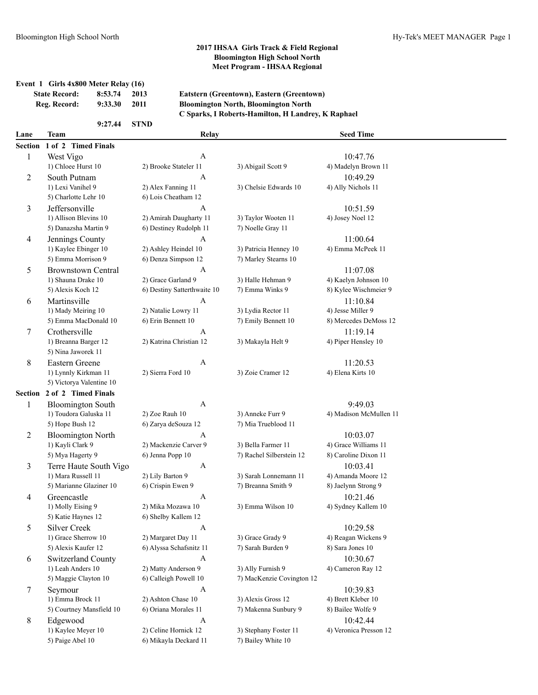# **Event 1 Girls 4x800 Meter Relay (16)**

| State Record: | 8:33.74 | -2013 |
|---------------|---------|-------|
| Reg. Record:  | 9:33.30 | 2011  |
|               |         |       |

#### **State Record: 8:53.74 2013 Eatstern (Greentown), Eastern (Greentown) Reg. Record: 9:33.30 2011 Bloomington North, Bloomington North C Sparks, I Roberts-Hamilton, H Landrey, K Raphael**

#### **9:27.44 STND**

# **Lane Team Relay Seed Time**

|         | Section 1 of 2 Timed Finals                |                             |                           |                                 |
|---------|--------------------------------------------|-----------------------------|---------------------------|---------------------------------|
| 1       | West Vigo                                  | A                           |                           | 10:47.76                        |
|         | 1) Chloee Hurst 10                         | 2) Brooke Stateler 11       | 3) Abigail Scott 9        | 4) Madelyn Brown 11             |
| 2       | South Putnam                               | A                           |                           | 10:49.29                        |
|         | 1) Lexi Vanihel 9                          | 2) Alex Fanning 11          | 3) Chelsie Edwards 10     | 4) Ally Nichols 11              |
|         | 5) Charlotte Lehr 10                       | 6) Lois Cheatham 12         |                           |                                 |
| 3       | Jeffersonville                             | A                           |                           | 10:51.59                        |
|         | 1) Allison Blevins 10                      | 2) Amirah Daugharty 11      | 3) Taylor Wooten 11       | 4) Josey Noel 12                |
|         | 5) Danazsha Martin 9                       | 6) Destiney Rudolph 11      | 7) Noelle Gray 11         |                                 |
| 4       | Jennings County                            | A                           |                           | 11:00.64                        |
|         | 1) Kaylee Ebinger 10                       | 2) Ashley Heindel 10        | 3) Patricia Henney 10     | 4) Emma McPeek 11               |
|         | 5) Emma Morrison 9                         | 6) Denza Simpson 12         | 7) Marley Stearns 10      |                                 |
| 5       | <b>Brownstown Central</b>                  | A                           |                           | 11:07.08                        |
|         | 1) Shauna Drake 10                         | 2) Grace Garland 9          | 3) Halle Hehman 9         | 4) Kaelyn Johnson 10            |
|         | 5) Alexis Koch 12                          | 6) Destiny Satterthwaite 10 | 7) Emma Winks 9           | 8) Kylee Wischmeier 9           |
| 6       | Martinsville                               | A                           |                           | 11:10.84                        |
|         | 1) Mady Meiring 10                         | 2) Natalie Lowry 11         | 3) Lydia Rector 11        | 4) Jesse Miller 9               |
|         | 5) Emma MacDonald 10                       | 6) Erin Bennett 10          | 7) Emily Bennett 10       | 8) Mercedes DeMoss 12           |
| 7       | Crothersville                              | A                           |                           | 11:19.14                        |
|         | 1) Breanna Barger 12                       | 2) Katrina Christian 12     | 3) Makayla Helt 9         | 4) Piper Hensley 10             |
|         | 5) Nina Jaworek 11                         |                             |                           |                                 |
| 8       | <b>Eastern Greene</b>                      | A                           |                           | 11:20.53                        |
|         | 1) Lynnly Kirkman 11                       | 2) Sierra Ford 10           | 3) Zoie Cramer 12         | 4) Elena Kirts 10               |
|         | 5) Victorya Valentine 10                   |                             |                           |                                 |
| Section | 2 of 2 Timed Finals                        |                             |                           |                                 |
| 1       | <b>Bloomington South</b>                   | A                           |                           | 9:49.03                         |
|         | 1) Toudora Galuska 11                      | 2) Zoe Rauh 10              | 3) Anneke Furr 9          | 4) Madison McMullen 11          |
|         | 5) Hope Bush 12                            | 6) Zarya deSouza 12         | 7) Mia Trueblood 11       |                                 |
| 2       | <b>Bloomington North</b>                   | A                           |                           | 10:03.07                        |
|         | 1) Kayli Clark 9                           | 2) Mackenzie Carver 9       | 3) Bella Farmer 11        | 4) Grace Williams 11            |
|         | 5) Mya Hagerty 9                           | 6) Jenna Popp 10            | 7) Rachel Silberstein 12  | 8) Caroline Dixon 11            |
| 3       | Terre Haute South Vigo                     | A                           |                           | 10:03.41                        |
|         | 1) Mara Russell 11                         | 2) Lily Barton 9            | 3) Sarah Lonnemann 11     | 4) Amanda Moore 12              |
|         | 5) Marianne Glaziner 10                    | 6) Crispin Ewen 9           | 7) Breanna Smith 9        | 8) Jaelynn Strong 9             |
| 4       | Greencastle                                | A                           |                           | 10:21.46                        |
|         | 1) Molly Eising 9<br>5) Katie Haynes 12    | 2) Mika Mozawa 10           | 3) Emma Wilson 10         | 4) Sydney Kallem 10             |
|         |                                            | 6) Shelby Kallem 12         |                           |                                 |
| 5       | <b>Silver Creek</b><br>1) Grace Sherrow 10 | A<br>2) Margaret Day 11     | 3) Grace Grady 9          | 10:29.58<br>4) Reagan Wickens 9 |
|         |                                            | 6) Alyssa Schafsnitz 11     | 7) Sarah Burden 9         | 8) Sara Jones 10                |
|         | 5) Alexis Kaufer 12                        |                             |                           |                                 |
| 6       | Switzerland County<br>1) Leah Anders 10    | A<br>2) Matty Anderson 9    | 3) Ally Furnish 9         | 10:30.67<br>4) Cameron Ray 12   |
|         | 5) Maggie Clayton 10                       | 6) Calleigh Powell 10       | 7) MacKenzie Covington 12 |                                 |
| 7       | Seymour                                    | A                           |                           | 10:39.83                        |
|         | 1) Emma Brock 11                           | 2) Ashton Chase 10          | 3) Alexis Gross 12        | 4) Brett Kleber 10              |
|         | 5) Courtney Mansfield 10                   | 6) Oriana Morales 11        | 7) Makenna Sunbury 9      | 8) Bailee Wolfe 9               |
| 8       | Edgewood                                   | A                           |                           | 10:42.44                        |
|         | 1) Kaylee Meyer 10                         | 2) Celine Hornick 12        | 3) Stephany Foster 11     | 4) Veronica Presson 12          |
|         | 5) Paige Abel 10                           | 6) Mikayla Deckard 11       | 7) Bailey White 10        |                                 |
|         |                                            |                             |                           |                                 |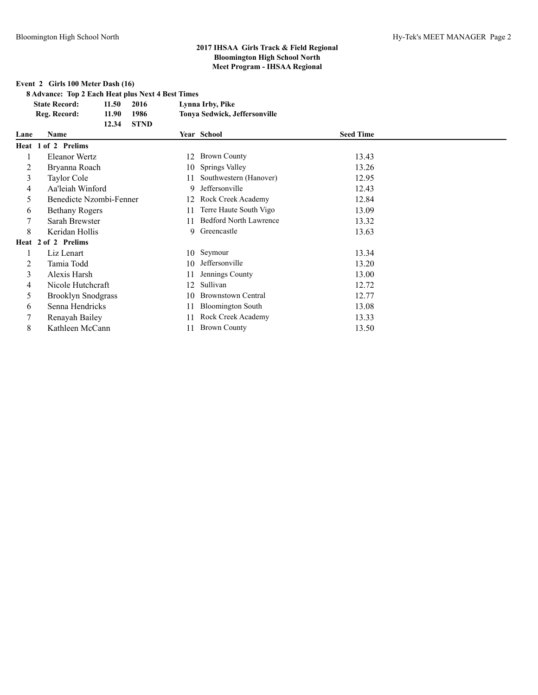## **Event 2 Girls 100 Meter Dash (16)**

**8 Advance: Top 2 Each Heat plus Next 4 Best Times**

|      | <b>State Record:</b><br>11.50<br>2016 | Lynna Irby, Pike                    |                  |  |
|------|---------------------------------------|-------------------------------------|------------------|--|
|      | Reg. Record:<br>11.90<br>1986         | Tonya Sedwick, Jeffersonville       |                  |  |
|      | <b>STND</b><br>12.34                  |                                     |                  |  |
| Lane | <b>Name</b>                           | Year School                         | <b>Seed Time</b> |  |
|      | Heat 1 of 2 Prelims                   |                                     |                  |  |
|      | Eleanor Wertz                         | <b>Brown County</b><br>12           | 13.43            |  |
| 2    | Bryanna Roach                         | Springs Valley<br>10                | 13.26            |  |
| 3    | Taylor Cole                           | Southwestern (Hanover)<br>11        | 12.95            |  |
| 4    | Aa'leiah Winford                      | Jeffersonville<br>9                 | 12.43            |  |
| 5    | Benedicte Nzombi-Fenner               | Rock Creek Academy<br>12            | 12.84            |  |
| 6    | <b>Bethany Rogers</b>                 | Terre Haute South Vigo<br>11        | 13.09            |  |
| 7    | Sarah Brewster                        | <b>Bedford North Lawrence</b><br>11 | 13.32            |  |
| 8    | Keridan Hollis                        | Greencastle<br>9                    | 13.63            |  |
|      | Heat 2 of 2 Prelims                   |                                     |                  |  |
| 1    | Liz Lenart                            | Seymour<br>10                       | 13.34            |  |
| 2    | Tamia Todd                            | Jeffersonville<br>10                | 13.20            |  |
| 3    | Alexis Harsh                          | Jennings County                     | 13.00            |  |
| 4    | Nicole Hutchcraft                     | Sullivan<br>12                      | 12.72            |  |
| 5    | <b>Brooklyn Snodgrass</b>             | <b>Brownstown Central</b><br>10     | 12.77            |  |
| 6    | Senna Hendricks                       | <b>Bloomington South</b><br>11      | 13.08            |  |
|      | Renayah Bailey                        | Rock Creek Academy<br>11            | 13.33            |  |
| 8    | Kathleen McCann                       | <b>Brown County</b><br>11           | 13.50            |  |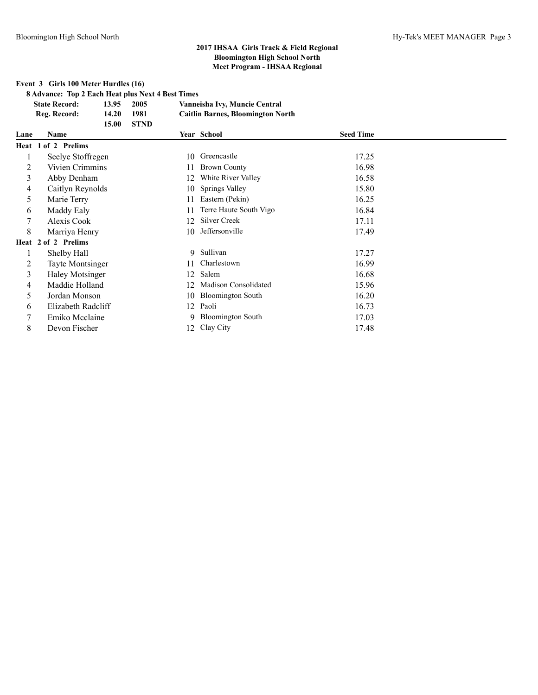**Event 3 Girls 100 Meter Hurdles (16)**

**8 Advance: Top 2 Each Heat plus Next 4 Best Times**

|      | <b>State Record:</b>    | 13.95 | 2005        |    | Vanneisha Ivy, Muncie Central            |                  |  |
|------|-------------------------|-------|-------------|----|------------------------------------------|------------------|--|
|      | Reg. Record:            | 14.20 | 1981        |    | <b>Caitlin Barnes, Bloomington North</b> |                  |  |
|      |                         | 15.00 | <b>STND</b> |    |                                          |                  |  |
| Lane | <b>Name</b>             |       |             |    | Year School                              | <b>Seed Time</b> |  |
|      | Heat 1 of 2 Prelims     |       |             |    |                                          |                  |  |
|      | Seelye Stoffregen       |       |             | 10 | Greencastle                              | 17.25            |  |
| 2    | Vivien Crimmins         |       |             | 11 | <b>Brown County</b>                      | 16.98            |  |
| 3    | Abby Denham             |       |             | 12 | White River Valley                       | 16.58            |  |
| 4    | Caitlyn Reynolds        |       |             | 10 | Springs Valley                           | 15.80            |  |
| 5    | Marie Terry             |       |             |    | Eastern (Pekin)                          | 16.25            |  |
| 6    | Maddy Ealy              |       |             |    | Terre Haute South Vigo                   | 16.84            |  |
| 7    | Alexis Cook             |       |             | 12 | Silver Creek                             | 17.11            |  |
| 8    | Marriya Henry           |       |             | 10 | Jeffersonville                           | 17.49            |  |
|      | Heat 2 of 2 Prelims     |       |             |    |                                          |                  |  |
|      | Shelby Hall             |       |             | 9  | Sullivan                                 | 17.27            |  |
| 2    | <b>Tayte Montsinger</b> |       |             |    | Charlestown                              | 16.99            |  |
| 3    | Haley Motsinger         |       |             | 12 | Salem                                    | 16.68            |  |
| 4    | Maddie Holland          |       |             | 12 | <b>Madison Consolidated</b>              | 15.96            |  |
| 5    | Jordan Monson           |       |             | 10 | <b>Bloomington South</b>                 | 16.20            |  |
| 6    | Elizabeth Radcliff      |       |             | 12 | Paoli                                    | 16.73            |  |
| 7    | Emiko Mcclaine          |       |             | 9  | <b>Bloomington South</b>                 | 17.03            |  |
| 8    | Devon Fischer           |       |             | 12 | Clay City                                | 17.48            |  |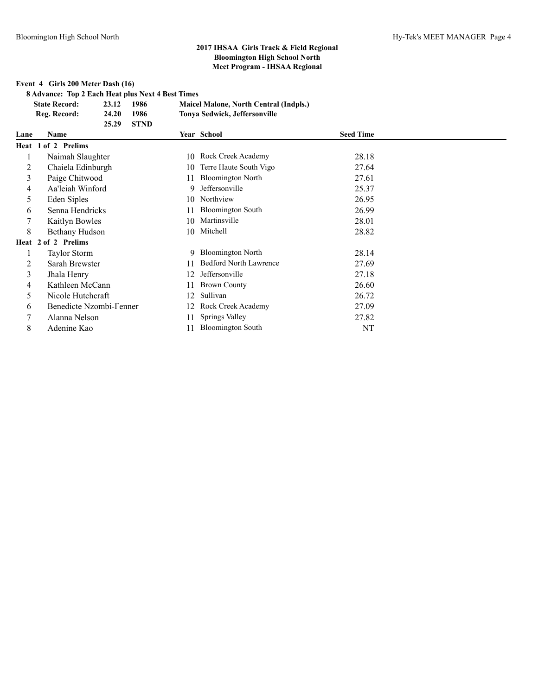**Event 4 Girls 200 Meter Dash (16)**

**8 Advance: Top 2 Each Heat plus Next 4 Best Times**

| <b>State Record:</b> | 23.12 | 1986 | <b>Maicel Malone, North Central (Indpls.)</b> |
|----------------------|-------|------|-----------------------------------------------|
| Reg. Record:         | 24.20 | 1986 | Tonya Sedwick, Jeffersonville                 |

|      | <b>STND</b><br>25.29    |    |                               |                  |  |
|------|-------------------------|----|-------------------------------|------------------|--|
| Lane | <b>Name</b>             |    | Year School                   | <b>Seed Time</b> |  |
|      | Heat 1 of 2 Prelims     |    |                               |                  |  |
|      | Naimah Slaughter        | 10 | Rock Creek Academy            | 28.18            |  |
| 2    | Chaiela Edinburgh       | 10 | Terre Haute South Vigo        | 27.64            |  |
| 3    | Paige Chitwood          | 11 | <b>Bloomington North</b>      | 27.61            |  |
| 4    | Aa'leiah Winford        | 9  | Jeffersonville                | 25.37            |  |
| 5    | Eden Siples             | 10 | Northview                     | 26.95            |  |
| 6    | Senna Hendricks         |    | <b>Bloomington South</b>      | 26.99            |  |
|      | Kaitlyn Bowles          | 10 | Martinsville                  | 28.01            |  |
| 8    | Bethany Hudson          |    | 10 Mitchell                   | 28.82            |  |
|      | Heat 2 of 2 Prelims     |    |                               |                  |  |
|      | <b>Taylor Storm</b>     | 9  | <b>Bloomington North</b>      | 28.14            |  |
| 2    | Sarah Brewster          |    | <b>Bedford North Lawrence</b> | 27.69            |  |
| 3    | Jhala Henry             | 12 | Jeffersonville                | 27.18            |  |
| 4    | Kathleen McCann         |    | <b>Brown County</b>           | 26.60            |  |
| 5    | Nicole Hutchcraft       | 12 | Sullivan                      | 26.72            |  |
| 6    | Benedicte Nzombi-Fenner | 12 | Rock Creek Academy            | 27.09            |  |
|      | Alanna Nelson           | 11 | Springs Valley                | 27.82            |  |
| 8    | Adenine Kao             | 11 | <b>Bloomington South</b>      | NT               |  |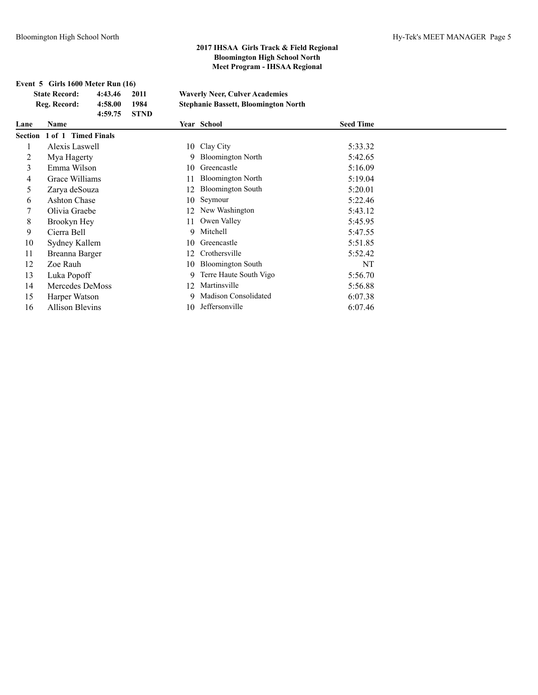**Event 5 Girls 1600 Meter Run (16)**

| <b>State Record:</b><br>2011<br>4:43.46 |                             |         | <b>Waverly Neer, Culver Academies</b> |    |                                             |                  |  |
|-----------------------------------------|-----------------------------|---------|---------------------------------------|----|---------------------------------------------|------------------|--|
|                                         | Reg. Record:                | 4:58.00 | 1984                                  |    | <b>Stephanie Bassett, Bloomington North</b> |                  |  |
| Lane                                    | Name                        | 4:59.75 | <b>STND</b>                           |    | Year School                                 | <b>Seed Time</b> |  |
|                                         | Section 1 of 1 Timed Finals |         |                                       |    |                                             |                  |  |
|                                         | Alexis Laswell              |         |                                       |    | 10 Clay City                                | 5:33.32          |  |
| 2                                       | Mya Hagerty                 |         |                                       | 9. | <b>Bloomington North</b>                    | 5:42.65          |  |
| 3                                       | Emma Wilson                 |         |                                       | 10 | Greencastle                                 | 5:16.09          |  |
| 4                                       | Grace Williams              |         |                                       |    | <b>Bloomington North</b>                    | 5:19.04          |  |
| 5                                       | Zarva deSouza               |         |                                       | 12 | <b>Bloomington South</b>                    | 5:20.01          |  |
| 6                                       | <b>Ashton Chase</b>         |         |                                       | 10 | Seymour                                     | 5:22.46          |  |
|                                         | Olivia Graebe               |         |                                       |    | New Washington                              | 5:43.12          |  |
| 8                                       | Brookyn Hey                 |         |                                       | 11 | Owen Valley                                 | 5:45.95          |  |
| 9                                       | Cierra Bell                 |         |                                       |    | 9 Mitchell                                  | 5:47.55          |  |
| 10                                      | Sydney Kallem               |         |                                       | 10 | Greencastle                                 | 5:51.85          |  |
| 11                                      | Breanna Barger              |         |                                       | 12 | Crothersville                               | 5:52.42          |  |
| 12                                      | Zoe Rauh                    |         |                                       | 10 | <b>Bloomington South</b>                    | NT               |  |
| 13                                      | Luka Popoff                 |         |                                       | 9. | Terre Haute South Vigo                      | 5:56.70          |  |
| 14                                      | Mercedes DeMoss             |         |                                       |    | Martinsville                                | 5:56.88          |  |
| 15                                      | Harper Watson               |         |                                       |    | Madison Consolidated                        | 6:07.38          |  |
| 16                                      | <b>Allison Blevins</b>      |         |                                       | 10 | Jeffersonville                              | 6:07.46          |  |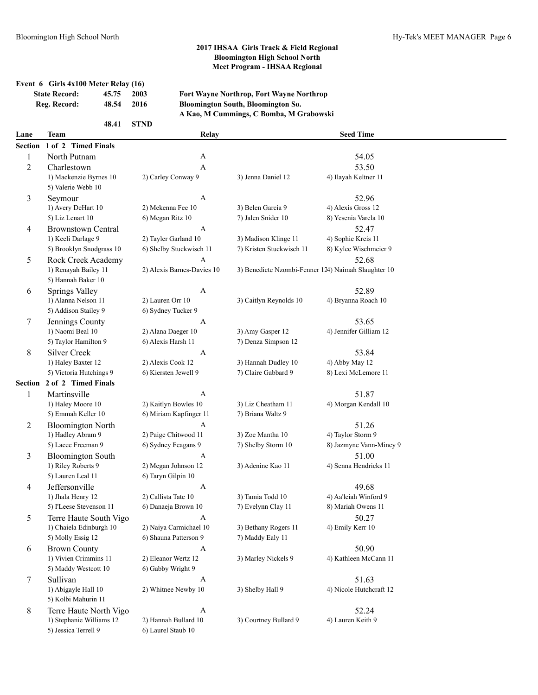### **Event 6 Girls 4x100 Meter Relay (16)**

| <b>State Record:</b> | 45.75 2003 |        |  |
|----------------------|------------|--------|--|
| Reg. Record:         | 48.54      | - 2016 |  |
|                      |            |        |  |

**48.41 STND**

**State Record: 45.75 2003 Fort Wayne Northrop, Fort Wayne Northrop Reg. Record: 48.54 2016 Bloomington South, Bloomington So. A Kao, M Cummings, C Bomba, M Grabowski**

| Lane           | <b>Team</b>                                   | Relay                                     |                                                     | <b>Seed Time</b>                      |  |
|----------------|-----------------------------------------------|-------------------------------------------|-----------------------------------------------------|---------------------------------------|--|
| <b>Section</b> | 1 of 2 Timed Finals                           |                                           |                                                     |                                       |  |
| $\mathbf{1}$   | North Putnam                                  | $\boldsymbol{A}$                          |                                                     | 54.05                                 |  |
| 2              | Charlestown                                   | $\mathbf{A}$                              |                                                     | 53.50                                 |  |
|                | 1) Mackenzie Byrnes 10                        | 2) Carley Conway 9                        | 3) Jenna Daniel 12                                  | 4) Ilayah Keltner 11                  |  |
|                | 5) Valerie Webb 10                            |                                           |                                                     |                                       |  |
| 3              | Seymour                                       | A                                         |                                                     | 52.96                                 |  |
|                | 1) Avery DeHart 10                            | 2) Mekenna Fee 10                         | 3) Belen Garcia 9                                   | 4) Alexis Gross 12                    |  |
|                | 5) Liz Lenart 10                              | 6) Megan Ritz 10                          | 7) Jalen Snider 10                                  | 8) Yesenia Varela 10                  |  |
| 4              | <b>Brownstown Central</b>                     | A                                         |                                                     | 52.47                                 |  |
|                | 1) Keeli Darlage 9                            | 2) Tayler Garland 10                      | 3) Madison Klinge 11                                | 4) Sophie Kreis 11                    |  |
|                | 5) Brooklyn Snodgrass 10                      | 6) Shelby Stuckwisch 11                   | 7) Kristen Stuckwisch 11                            | 8) Kylee Wischmeier 9                 |  |
| 5              | Rock Creek Academy                            | A                                         |                                                     | 52.68                                 |  |
|                | 1) Renayah Bailey 11                          | 2) Alexis Barnes-Davies 10                | 3) Benedicte Nzombi-Fenner 124) Naimah Slaughter 10 |                                       |  |
|                | 5) Hannah Baker 10                            |                                           |                                                     |                                       |  |
| 6              | <b>Springs Valley</b>                         | A                                         |                                                     | 52.89                                 |  |
|                | 1) Alanna Nelson 11                           | 2) Lauren Orr 10                          | 3) Caitlyn Reynolds 10                              | 4) Bryanna Roach 10                   |  |
|                | 5) Addison Stailey 9                          | 6) Sydney Tucker 9                        |                                                     |                                       |  |
| 7              | Jennings County                               | $\boldsymbol{A}$                          |                                                     | 53.65                                 |  |
|                | 1) Naomi Beal 10                              | 2) Alana Daeger 10                        | 3) Amy Gasper 12                                    | 4) Jennifer Gilliam 12                |  |
|                | 5) Taylor Hamilton 9                          | 6) Alexis Harsh 11                        | 7) Denza Simpson 12                                 |                                       |  |
| 8              | <b>Silver Creek</b>                           | A                                         |                                                     | 53.84                                 |  |
|                | 1) Haley Baxter 12<br>5) Victoria Hutchings 9 | 2) Alexis Cook 12<br>6) Kiersten Jewell 9 | 3) Hannah Dudley 10<br>7) Claire Gabbard 9          | 4) Abby May 12<br>8) Lexi McLemore 11 |  |
| <b>Section</b> | 2 of 2 Timed Finals                           |                                           |                                                     |                                       |  |
|                | Martinsville                                  | A                                         |                                                     | 51.87                                 |  |
| 1              | 1) Haley Moore 10                             | 2) Kaitlyn Bowles 10                      | 3) Liz Cheatham 11                                  | 4) Morgan Kendall 10                  |  |
|                | 5) Emmah Keller 10                            | 6) Miriam Kapfinger 11                    | 7) Briana Waltz 9                                   |                                       |  |
| 2              | <b>Bloomington North</b>                      | $\mathbf{A}$                              |                                                     | 51.26                                 |  |
|                | 1) Hadley Abram 9                             | 2) Paige Chitwood 11                      | 3) Zoe Mantha 10                                    | 4) Taylor Storm 9                     |  |
|                | 5) Lacee Freeman 9                            | 6) Sydney Feagans 9                       | 7) Shelby Storm 10                                  | 8) Jazmyne Vann-Mincy 9               |  |
| 3              | <b>Bloomington South</b>                      | $\boldsymbol{A}$                          |                                                     | 51.00                                 |  |
|                | 1) Riley Roberts 9                            | 2) Megan Johnson 12                       | 3) Adenine Kao 11                                   | 4) Senna Hendricks 11                 |  |
|                | 5) Lauren Leal 11                             | 6) Taryn Gilpin 10                        |                                                     |                                       |  |
| 4              | Jeffersonville                                | $\mathbf{A}$                              |                                                     | 49.68                                 |  |
|                | 1) Jhala Henry 12                             | 2) Callista Tate 10                       | 3) Tamia Todd 10                                    | 4) Aa'leiah Winford 9                 |  |
|                | 5) I'Leese Stevenson 11                       | 6) Danaeja Brown 10                       | 7) Evelynn Clay 11                                  | 8) Mariah Owens 11                    |  |
| 5              | Terre Haute South Vigo                        | A                                         |                                                     | 50.27                                 |  |
|                | 1) Chaiela Edinburgh 10                       | 2) Naiya Carmichael 10                    | 3) Bethany Rogers 11                                | 4) Emily Kerr 10                      |  |
|                | 5) Molly Essig 12                             | 6) Shauna Patterson 9                     | 7) Maddy Ealy 11                                    |                                       |  |
| 6              | <b>Brown County</b>                           | $\mathbf{A}$                              |                                                     | 50.90                                 |  |
|                | 1) Vivien Crimmins 11                         | 2) Eleanor Wertz 12                       | 3) Marley Nickels 9                                 | 4) Kathleen McCann 11                 |  |
|                | 5) Maddy Westcott 10                          | 6) Gabby Wright 9                         |                                                     |                                       |  |
| 7              | Sullivan                                      | $\mathbf{A}$                              |                                                     | 51.63                                 |  |
|                | 1) Abigayle Hall 10                           | 2) Whitnee Newby 10                       | 3) Shelby Hall 9                                    | 4) Nicole Hutchcraft 12               |  |
|                | 5) Kolbi Mahurin 11                           |                                           |                                                     |                                       |  |
| 8              | Terre Haute North Vigo                        | A                                         |                                                     | 52.24                                 |  |
|                | 1) Stephanie Williams 12                      | 2) Hannah Bullard 10                      | 3) Courtney Bullard 9                               | 4) Lauren Keith 9                     |  |
|                | 5) Jessica Terrell 9                          | 6) Laurel Staub 10                        |                                                     |                                       |  |
|                |                                               |                                           |                                                     |                                       |  |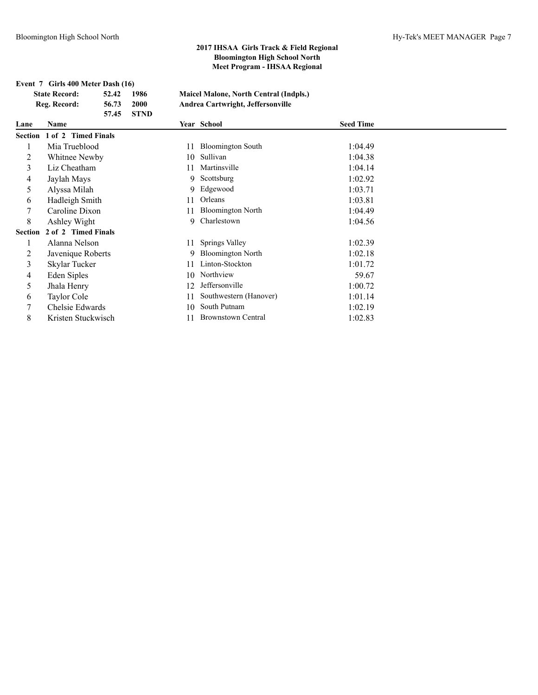| Event 7 Girls 400 Meter Dash (16) |                             |       |             |    |                                               |                  |  |  |
|-----------------------------------|-----------------------------|-------|-------------|----|-----------------------------------------------|------------------|--|--|
|                                   | <b>State Record:</b>        | 52.42 | 1986        |    | <b>Maicel Malone, North Central (Indpls.)</b> |                  |  |  |
|                                   | Reg. Record:                | 56.73 | 2000        |    | Andrea Cartwright, Jeffersonville             |                  |  |  |
|                                   |                             | 57.45 | <b>STND</b> |    |                                               |                  |  |  |
| Lane                              | <b>Name</b>                 |       |             |    | Year School                                   | <b>Seed Time</b> |  |  |
|                                   | Section 1 of 2 Timed Finals |       |             |    |                                               |                  |  |  |
| 1                                 | Mia Trueblood               |       |             | 11 | <b>Bloomington South</b>                      | 1:04.49          |  |  |
| 2                                 | Whitnee Newby               |       |             | 10 | Sullivan                                      | 1:04.38          |  |  |
| 3                                 | Liz Cheatham                |       |             | 11 | Martinsville                                  | 1:04.14          |  |  |
| 4                                 | Jaylah Mays                 |       |             | 9  | Scottsburg                                    | 1:02.92          |  |  |
| 5                                 | Alyssa Milah                |       |             | 9  | Edgewood                                      | 1:03.71          |  |  |
| 6                                 | Hadleigh Smith              |       |             | 11 | Orleans                                       | 1:03.81          |  |  |
| 7                                 | Caroline Dixon              |       |             | 11 | <b>Bloomington North</b>                      | 1:04.49          |  |  |
| 8                                 | Ashley Wight                |       |             | 9  | Charlestown                                   | 1:04.56          |  |  |
| <b>Section</b>                    | 2 of 2 Timed Finals         |       |             |    |                                               |                  |  |  |
| 1                                 | Alanna Nelson               |       |             | 11 | Springs Valley                                | 1:02.39          |  |  |
| 2                                 | Javenique Roberts           |       |             | 9  | <b>Bloomington North</b>                      | 1:02.18          |  |  |
| 3                                 | Skylar Tucker               |       |             | 11 | Linton-Stockton                               | 1:01.72          |  |  |
| 4                                 | Eden Siples                 |       |             | 10 | Northview                                     | 59.67            |  |  |
| 5                                 | Jhala Henry                 |       |             | 12 | Jeffersonville                                | 1:00.72          |  |  |
| 6                                 | Taylor Cole                 |       |             | 11 | Southwestern (Hanover)                        | 1:01.14          |  |  |
| 7                                 | Chelsie Edwards             |       |             | 10 | South Putnam                                  | 1:02.19          |  |  |
| 8                                 | Kristen Stuckwisch          |       |             | 11 | <b>Brownstown Central</b>                     | 1:02.83          |  |  |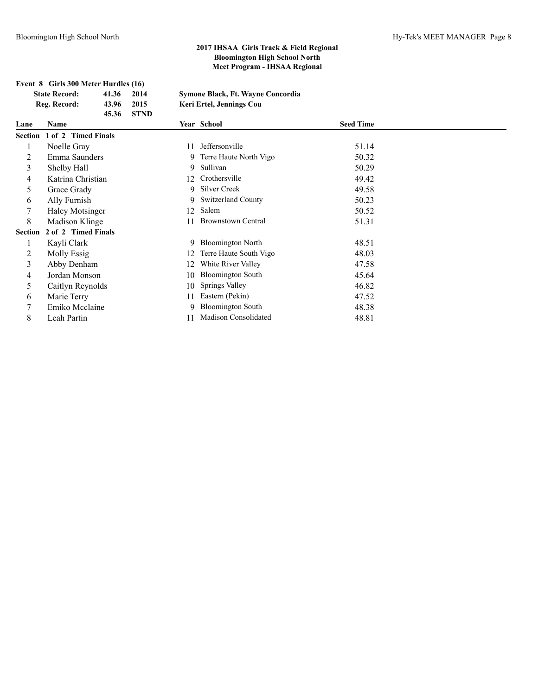|                | Event 8 Girls 300 Meter Hurdles (16) |             |                                   |                  |  |  |  |  |
|----------------|--------------------------------------|-------------|-----------------------------------|------------------|--|--|--|--|
|                | <b>State Record:</b><br>41.36        | 2014        | Symone Black, Ft. Wayne Concordia |                  |  |  |  |  |
|                | Reg. Record:<br>43.96                | 2015        | Keri Ertel, Jennings Cou          |                  |  |  |  |  |
|                | 45.36                                | <b>STND</b> |                                   |                  |  |  |  |  |
| Lane           | <b>Name</b>                          |             | Year School                       | <b>Seed Time</b> |  |  |  |  |
|                | Section 1 of 2 Timed Finals          |             |                                   |                  |  |  |  |  |
| 1              | Noelle Gray                          | 11          | Jeffersonville                    | 51.14            |  |  |  |  |
| 2              | Emma Saunders                        | 9           | Terre Haute North Vigo            | 50.32            |  |  |  |  |
| 3              | Shelby Hall                          | 9           | Sullivan                          | 50.29            |  |  |  |  |
| 4              | Katrina Christian                    | 12          | Crothersville                     | 49.42            |  |  |  |  |
| 5              | Grace Grady                          | 9           | Silver Creek                      | 49.58            |  |  |  |  |
| 6              | Ally Furnish                         | 9           | <b>Switzerland County</b>         | 50.23            |  |  |  |  |
| 7              | <b>Haley Motsinger</b>               | 12          | Salem                             | 50.52            |  |  |  |  |
| 8              | Madison Klinge                       | 11          | <b>Brownstown Central</b>         | 51.31            |  |  |  |  |
| <b>Section</b> | 2 of 2 Timed Finals                  |             |                                   |                  |  |  |  |  |
| 1              | Kayli Clark                          | 9           | <b>Bloomington North</b>          | 48.51            |  |  |  |  |
| 2              | Molly Essig                          | 12          | Terre Haute South Vigo            | 48.03            |  |  |  |  |
| 3              | Abby Denham                          | 12          | White River Valley                | 47.58            |  |  |  |  |
| 4              | Jordan Monson                        | 10          | <b>Bloomington South</b>          | 45.64            |  |  |  |  |
| 5              | Caitlyn Reynolds                     | 10          | Springs Valley                    | 46.82            |  |  |  |  |
| 6              | Marie Terry                          | 11          | Eastern (Pekin)                   | 47.52            |  |  |  |  |
| 7              | Emiko Mcclaine                       | 9           | <b>Bloomington South</b>          | 48.38            |  |  |  |  |
| 8              | Leah Partin                          | 11          | <b>Madison Consolidated</b>       | 48.81            |  |  |  |  |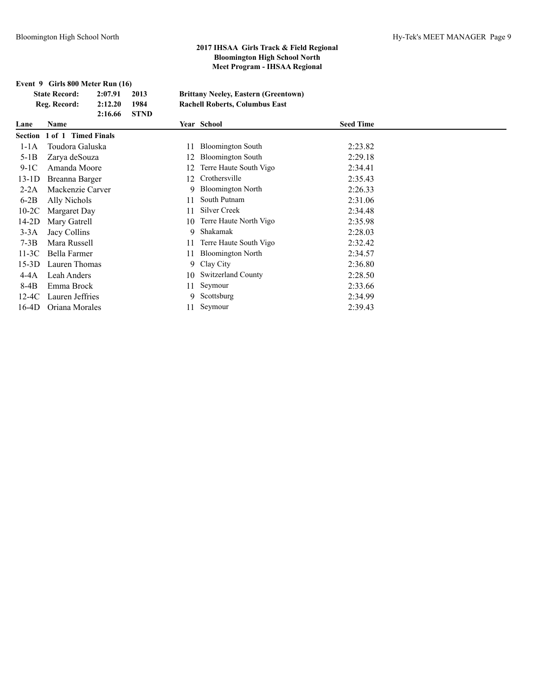**Event 9 Girls 800 Meter Run (16)**

| <b>State Record:</b><br>2:07.91<br>2013<br><b>Brittany Neeley, Eastern (Greentown)</b> |                     |         |             |    |                                       |                  |  |
|----------------------------------------------------------------------------------------|---------------------|---------|-------------|----|---------------------------------------|------------------|--|
|                                                                                        | Reg. Record:        | 2:12.20 | 1984        |    | <b>Rachell Roberts, Columbus East</b> |                  |  |
|                                                                                        |                     | 2:16.66 | <b>STND</b> |    |                                       |                  |  |
| Lane                                                                                   | Name                |         |             |    | Year School                           | <b>Seed Time</b> |  |
| Section                                                                                | 1 of 1 Timed Finals |         |             |    |                                       |                  |  |
| $1-1A$                                                                                 | Toudora Galuska     |         |             |    | <b>Bloomington South</b>              | 2:23.82          |  |
| $5-1B$                                                                                 | Zarya deSouza       |         |             | 12 | <b>Bloomington South</b>              | 2:29.18          |  |
| $9-1C$                                                                                 | Amanda Moore        |         |             | 12 | Terre Haute South Vigo                | 2:34.41          |  |
| $13-1D$                                                                                | Breanna Barger      |         |             | 12 | Crothersville                         | 2:35.43          |  |
| $2-2A$                                                                                 | Mackenzie Carver    |         |             | 9  | <b>Bloomington North</b>              | 2:26.33          |  |
| $6-2B$                                                                                 | Ally Nichols        |         |             | 11 | South Putnam                          | 2:31.06          |  |
| $10-2C$                                                                                | Margaret Day        |         |             | 11 | Silver Creek                          | 2:34.48          |  |
| $14-2D$                                                                                | Mary Gatrell        |         |             | 10 | Terre Haute North Vigo                | 2:35.98          |  |
| $3-3A$                                                                                 | Jacy Collins        |         |             | 9  | Shakamak                              | 2:28.03          |  |
| $7-3B$                                                                                 | Mara Russell        |         |             | 11 | Terre Haute South Vigo                | 2:32.42          |  |
| $11-3C$                                                                                | Bella Farmer        |         |             | 11 | <b>Bloomington North</b>              | 2:34.57          |  |
| $15-3D$                                                                                | Lauren Thomas       |         |             | 9. | Clay City                             | 2:36.80          |  |
| $4-4A$                                                                                 | Leah Anders         |         |             | 10 | <b>Switzerland County</b>             | 2:28.50          |  |
| $8-4B$                                                                                 | Emma Brock          |         |             | 11 | Seymour                               | 2:33.66          |  |
| $12-4C$                                                                                | Lauren Jeffries     |         |             | 9. | Scottsburg                            | 2:34.99          |  |
| $16-4D$                                                                                | Oriana Morales      |         |             | 11 | Seymour                               | 2:39.43          |  |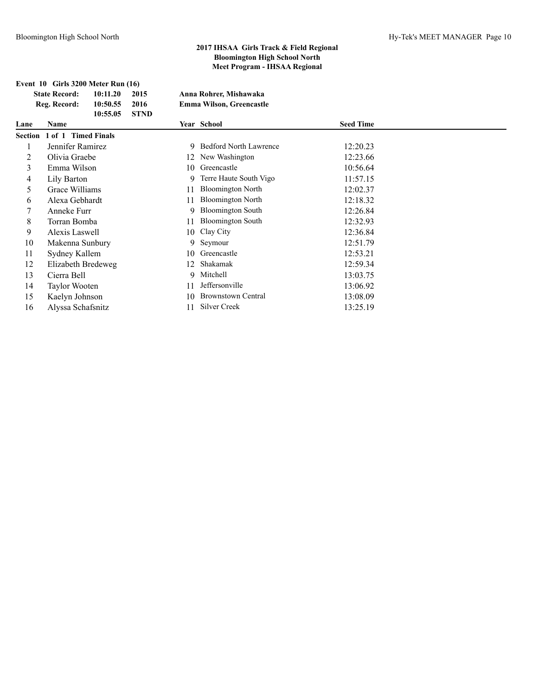|      | Event 10 Girls 3200 Meter Run (16)<br><b>State Record:</b><br>10:11.20<br>Reg. Record:<br>10:50.55<br>10:55.05 | 2015<br>2016<br><b>STND</b> | Anna Rohrer, Mishawaka<br><b>Emma Wilson, Greencastle</b> |                  |
|------|----------------------------------------------------------------------------------------------------------------|-----------------------------|-----------------------------------------------------------|------------------|
| Lane | <b>Name</b>                                                                                                    |                             | Year School                                               | <b>Seed Time</b> |
|      | Section 1 of 1 Timed Finals                                                                                    |                             |                                                           |                  |
| 1    | Jennifer Ramirez                                                                                               | 9                           | <b>Bedford North Lawrence</b>                             | 12:20.23         |
| 2    | Olivia Graebe                                                                                                  | 12                          | New Washington                                            | 12:23.66         |
| 3    | Emma Wilson                                                                                                    | 10                          | Greencastle                                               | 10:56.64         |
| 4    | Lily Barton                                                                                                    | 9                           | Terre Haute South Vigo                                    | 11:57.15         |
| 5    | Grace Williams                                                                                                 | 11                          | <b>Bloomington North</b>                                  | 12:02.37         |
| 6    | Alexa Gebhardt                                                                                                 | 11                          | <b>Bloomington North</b>                                  | 12:18.32         |
| 7    | Anneke Furr                                                                                                    | 9                           | <b>Bloomington South</b>                                  | 12:26.84         |
| 8    | Torran Bomba                                                                                                   | 11                          | <b>Bloomington South</b>                                  | 12:32.93         |
| 9    | Alexis Laswell                                                                                                 | 10                          | Clay City                                                 | 12:36.84         |
| 10   | Makenna Sunbury                                                                                                | 9                           | Seymour                                                   | 12:51.79         |
| 11   | Sydney Kallem                                                                                                  | 10                          | Greencastle                                               | 12:53.21         |
| 12   | Elizabeth Bredeweg                                                                                             | 12                          | Shakamak                                                  | 12:59.34         |
| 13   | Cierra Bell                                                                                                    | 9                           | Mitchell                                                  | 13:03.75         |
| 14   | Taylor Wooten                                                                                                  | 11                          | Jeffersonville                                            | 13:06.92         |
| 15   | Kaelyn Johnson                                                                                                 | 10                          | <b>Brownstown Central</b>                                 | 13:08.09         |
| 16   | Alyssa Schafsnitz                                                                                              | 11                          | Silver Creek                                              | 13:25.19         |
|      |                                                                                                                |                             |                                                           |                  |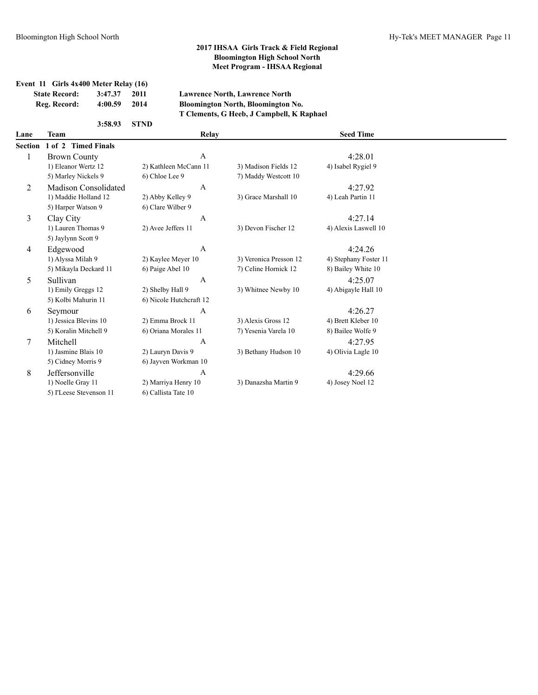**Event 11 Girls 4x400 Meter Relay (16)**

| <b>State Record:</b><br>3:47.37 |                             | 2011<br><b>Lawrence North, Lawrence North</b> |                         |       |                                           |                       |
|---------------------------------|-----------------------------|-----------------------------------------------|-------------------------|-------|-------------------------------------------|-----------------------|
|                                 | Reg. Record:                | 4:00.59                                       | 2014                    |       | <b>Bloomington North, Bloomington No.</b> |                       |
|                                 |                             |                                               |                         |       | T Clements, G Heeb, J Campbell, K Raphael |                       |
|                                 |                             | 3:58.93                                       | <b>STND</b>             |       |                                           |                       |
| Lane                            | Team                        |                                               |                         | Relay |                                           | <b>Seed Time</b>      |
| <b>Section</b>                  | 1 of 2 Timed Finals         |                                               |                         |       |                                           |                       |
| 1                               | <b>Brown County</b>         |                                               |                         | A     |                                           | 4:28.01               |
|                                 | 1) Eleanor Wertz 12         |                                               | 2) Kathleen McCann 11   |       | 3) Madison Fields 12                      | 4) Isabel Rygiel 9    |
|                                 | 5) Marley Nickels 9         |                                               | 6) Chloe Lee 9          |       | 7) Maddy Westcott 10                      |                       |
| 2                               | <b>Madison Consolidated</b> |                                               |                         | A     |                                           | 4:27.92               |
|                                 | 1) Maddie Holland 12        |                                               | 2) Abby Kelley 9        |       | 3) Grace Marshall 10                      | 4) Leah Partin 11     |
|                                 | 5) Harper Watson 9          |                                               | 6) Clare Wilber 9       |       |                                           |                       |
| 3                               | Clay City                   |                                               |                         | A     |                                           | 4:27.14               |
|                                 | 1) Lauren Thomas 9          |                                               | 2) Avee Jeffers 11      |       | 3) Devon Fischer 12                       | 4) Alexis Laswell 10  |
|                                 | 5) Jaylynn Scott 9          |                                               |                         |       |                                           |                       |
| $\overline{4}$                  | Edgewood                    |                                               |                         | A     |                                           | 4:24.26               |
|                                 | 1) Alyssa Milah 9           |                                               | 2) Kaylee Meyer 10      |       | 3) Veronica Presson 12                    | 4) Stephany Foster 11 |
|                                 | 5) Mikayla Deckard 11       |                                               | 6) Paige Abel 10        |       | 7) Celine Hornick 12                      | 8) Bailey White 10    |
| 5                               | Sullivan                    |                                               |                         | A     |                                           | 4:25.07               |
|                                 | 1) Emily Greggs 12          |                                               | 2) Shelby Hall 9        |       | 3) Whitnee Newby 10                       | 4) Abigayle Hall 10   |
|                                 | 5) Kolbi Mahurin 11         |                                               | 6) Nicole Hutchcraft 12 |       |                                           |                       |
| 6                               | Seymour                     |                                               |                         | A     |                                           | 4:26.27               |
|                                 | 1) Jessica Blevins 10       |                                               | 2) Emma Brock 11        |       | 3) Alexis Gross 12                        | 4) Brett Kleber 10    |

|   | 1) Emily Greggs 12      | 2) Shelby Hall 9        | 3) Whitnee Newby 10  | 4) Abigayle Hall 1 |
|---|-------------------------|-------------------------|----------------------|--------------------|
|   | 5) Kolbi Mahurin 11     | 6) Nicole Hutchcraft 12 |                      |                    |
| 6 | Seymour                 | A                       |                      | 4:26.27            |
|   | 1) Jessica Blevins 10   | 2) Emma Brock 11        | 3) Alexis Gross 12   | 4) Brett Kleber 10 |
|   | 5) Koralin Mitchell 9   | 6) Oriana Morales 11    | 7) Yesenia Varela 10 | 8) Bailee Wolfe 9  |
|   | Mitchell                | A                       |                      | 4:27.95            |
|   | 1) Jasmine Blais 10     | 2) Lauryn Davis 9       | 3) Bethany Hudson 10 | 4) Olivia Lagle 10 |
|   | 5) Cidney Morris 9      | 6) Jayven Workman 10    |                      |                    |
| 8 | <b>Jeffersonville</b>   | A                       |                      | 4:29.66            |
|   | 1) Noelle Gray 11       | 2) Marriya Henry 10     | 3) Danazsha Martin 9 | 4) Josey Noel 12   |
|   | 5) I'Leese Stevenson 11 | 6) Callista Tate 10     |                      |                    |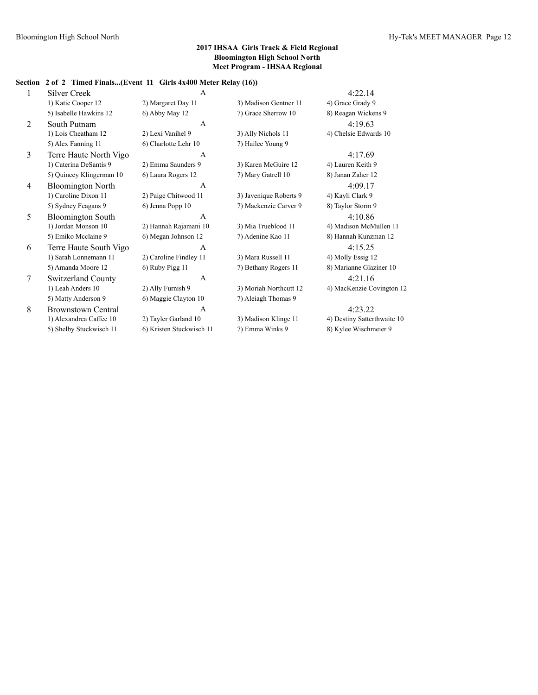### **Section 2 of 2 Timed Finals...(Event 11 Girls 4x400 Meter Relay (16))**

| 1 | <b>Silver Creek</b>       | $\mathbf{A}$             |                        | 4:22.14                     |
|---|---------------------------|--------------------------|------------------------|-----------------------------|
|   | 1) Katie Cooper 12        | 2) Margaret Day 11       | 3) Madison Gentner 11  | 4) Grace Grady 9            |
|   | 5) Isabelle Hawkins 12    | 6) Abby May 12           | 7) Grace Sherrow 10    | 8) Reagan Wickens 9         |
| 2 | South Putnam              | $\mathsf{A}$             |                        | 4:19.63                     |
|   | 1) Lois Cheatham 12       | 2) Lexi Vanihel 9        | 3) Ally Nichols 11     | 4) Chelsie Edwards 10       |
|   | 5) Alex Fanning 11        | 6) Charlotte Lehr 10     | 7) Hailee Young 9      |                             |
| 3 | Terre Haute North Vigo    | A                        |                        | 4:17.69                     |
|   | 1) Caterina DeSantis 9    | 2) Emma Saunders 9       | 3) Karen McGuire 12    | 4) Lauren Keith 9           |
|   | 5) Quincey Klingerman 10  | 6) Laura Rogers 12       | 7) Mary Gatrell 10     | 8) Janan Zaher 12           |
| 4 | <b>Bloomington North</b>  | $\mathbf{A}$             |                        | 4:09.17                     |
|   | 1) Caroline Dixon 11      | 2) Paige Chitwood 11     | 3) Javenique Roberts 9 | 4) Kayli Clark 9            |
|   | 5) Sydney Feagans 9       | 6) Jenna Popp 10         | 7) Mackenzie Carver 9  | 8) Taylor Storm 9           |
| 5 | <b>Bloomington South</b>  | $\mathsf{A}$             |                        | 4:10.86                     |
|   | 1) Jordan Monson 10       | 2) Hannah Rajamani 10    | 3) Mia Trueblood 11    | 4) Madison McMullen 11      |
|   | 5) Emiko Mcclaine 9       | 6) Megan Johnson 12      | 7) Adenine Kao 11      | 8) Hannah Kunzman 12        |
| 6 | Terre Haute South Vigo    | $\mathbf{A}$             |                        | 4:15.25                     |
|   | 1) Sarah Lonnemann 11     | 2) Caroline Findley 11   | 3) Mara Russell 11     | 4) Molly Essig 12           |
|   | 5) Amanda Moore 12        | 6) Ruby Pigg 11          | 7) Bethany Rogers 11   | 8) Marianne Glaziner 10     |
| 7 | Switzerland County        | $\mathbf{A}$             |                        | 4:21.16                     |
|   | 1) Leah Anders 10         | 2) Ally Furnish 9        | 3) Moriah Northcutt 12 | 4) MacKenzie Covington 12   |
|   | 5) Matty Anderson 9       | 6) Maggie Clayton 10     | 7) Aleiagh Thomas 9    |                             |
| 8 | <b>Brownstown Central</b> | A                        |                        | 4:23.22                     |
|   | 1) Alexandrea Caffee 10   | 2) Tayler Garland 10     | 3) Madison Klinge 11   | 4) Destiny Satterthwaite 10 |
|   | 5) Shelby Stuckwisch 11   | 6) Kristen Stuckwisch 11 | 7) Emma Winks 9        | 8) Kylee Wischmeier 9       |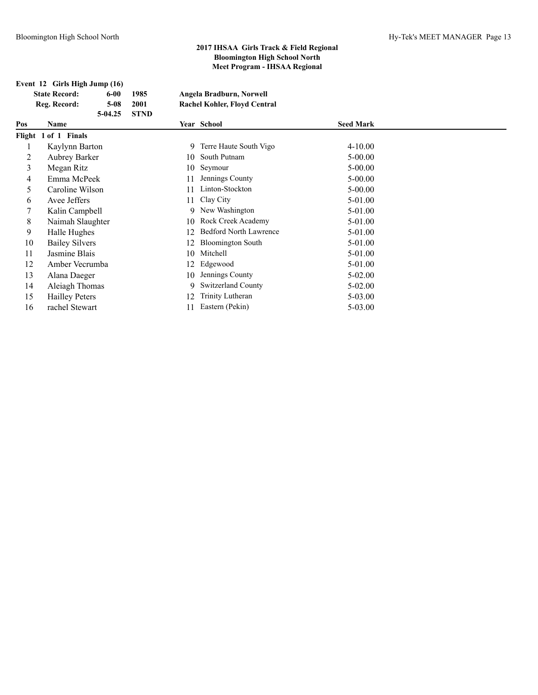|  |  | Event 12 Girls High Jump (16) |
|--|--|-------------------------------|
|  |  |                               |

| <b>State Record:</b> | 6-00      | 1985   | Angela Bradburn, Norwell            |
|----------------------|-----------|--------|-------------------------------------|
| Reg. Record:         | 5-08      | 2001   | <b>Rachel Kohler, Floyd Central</b> |
|                      | $5-04.25$ | - STND |                                     |

| Pos | Name                  |     | Year School                   | <b>Seed Mark</b> |  |
|-----|-----------------------|-----|-------------------------------|------------------|--|
|     | Flight 1 of 1 Finals  |     |                               |                  |  |
|     | Kaylynn Barton        | 9   | Terre Haute South Vigo        | $4 - 10.00$      |  |
| 2   | <b>Aubrey Barker</b>  | 10  | South Putnam                  | $5 - 00.00$      |  |
| 3   | Megan Ritz            | 10  | Seymour                       | $5 - 00.00$      |  |
| 4   | Emma McPeek           | 11  | Jennings County               | $5 - 00.00$      |  |
| 5   | Caroline Wilson       | 11  | Linton-Stockton               | $5 - 00.00$      |  |
| 6   | Avee Jeffers          | 11  | Clay City                     | 5-01.00          |  |
|     | Kalin Campbell        |     | 9 New Washington              | 5-01.00          |  |
| 8   | Naimah Slaughter      | 10  | Rock Creek Academy            | 5-01.00          |  |
| 9   | Halle Hughes          | 12. | <b>Bedford North Lawrence</b> | 5-01.00          |  |
| 10  | <b>Bailey Silvers</b> | 12. | <b>Bloomington South</b>      | 5-01.00          |  |
| 11  | Jasmine Blais         |     | 10 Mitchell                   | 5-01.00          |  |
| 12  | Amber Vecrumba        | 12  | Edgewood                      | 5-01.00          |  |
| 13  | Alana Daeger          | 10  | Jennings County               | $5-02.00$        |  |
| 14  | Aleiagh Thomas        | 9   | <b>Switzerland County</b>     | $5-02.00$        |  |
| 15  | <b>Hailley Peters</b> | 12  | Trinity Lutheran              | 5-03.00          |  |
| 16  | rachel Stewart        | 11  | Eastern (Pekin)               | 5-03.00          |  |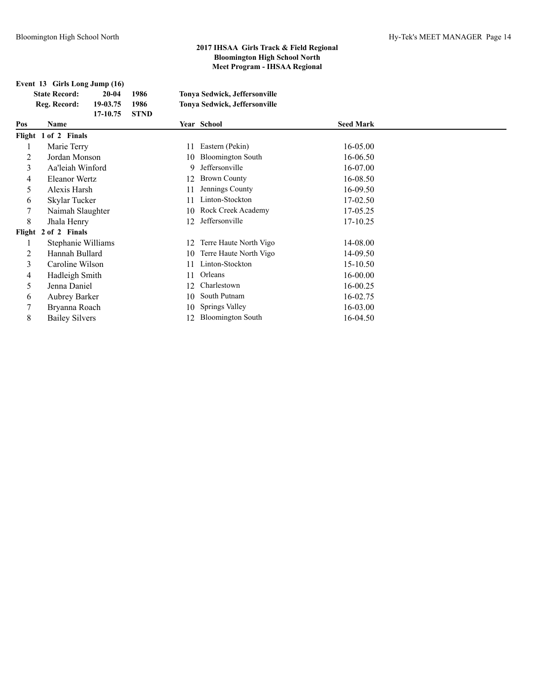**Event 13 Girls Long Jump (16)**

|     | <b>State Record:</b>  | $20 - 04$ | 1986        |    | Tonya Sedwick, Jeffersonville |                  |
|-----|-----------------------|-----------|-------------|----|-------------------------------|------------------|
|     | Reg. Record:          | 19-03.75  | 1986        |    | Tonya Sedwick, Jeffersonville |                  |
|     |                       | 17-10.75  | <b>STND</b> |    |                               |                  |
| Pos | <b>Name</b>           |           |             |    | Year School                   | <b>Seed Mark</b> |
|     | Flight 1 of 2 Finals  |           |             |    |                               |                  |
|     | Marie Terry           |           |             | 11 | Eastern (Pekin)               | 16-05.00         |
| 2   | Jordan Monson         |           |             | 10 | <b>Bloomington South</b>      | 16-06.50         |
| 3   | Aa'leiah Winford      |           |             | 9  | Jeffersonville                | 16-07.00         |
| 4   | <b>Eleanor Wertz</b>  |           |             | 12 | <b>Brown County</b>           | 16-08.50         |
| 5   | Alexis Harsh          |           |             | 11 | Jennings County               | 16-09.50         |
| 6   | Skylar Tucker         |           |             |    | Linton-Stockton               | 17-02.50         |
| 7   | Naimah Slaughter      |           |             | 10 | Rock Creek Academy            | 17-05.25         |
| 8   | Jhala Henry           |           |             | 12 | Jeffersonville                | 17-10.25         |
|     | Flight 2 of 2 Finals  |           |             |    |                               |                  |
|     | Stephanie Williams    |           |             | 12 | Terre Haute North Vigo        | 14-08.00         |
| 2   | Hannah Bullard        |           |             | 10 | Terre Haute North Vigo        | 14-09.50         |
| 3   | Caroline Wilson       |           |             | 11 | Linton-Stockton               | 15-10.50         |
| 4   | Hadleigh Smith        |           |             | 11 | Orleans                       | 16-00.00         |
| 5   | Jenna Daniel          |           |             | 12 | Charlestown                   | 16-00.25         |
| 6   | Aubrey Barker         |           |             | 10 | South Putnam                  | 16-02.75         |
| 7   | Bryanna Roach         |           |             | 10 | Springs Valley                | 16-03.00         |
| 8   | <b>Bailey Silvers</b> |           |             | 12 | <b>Bloomington South</b>      | 16-04.50         |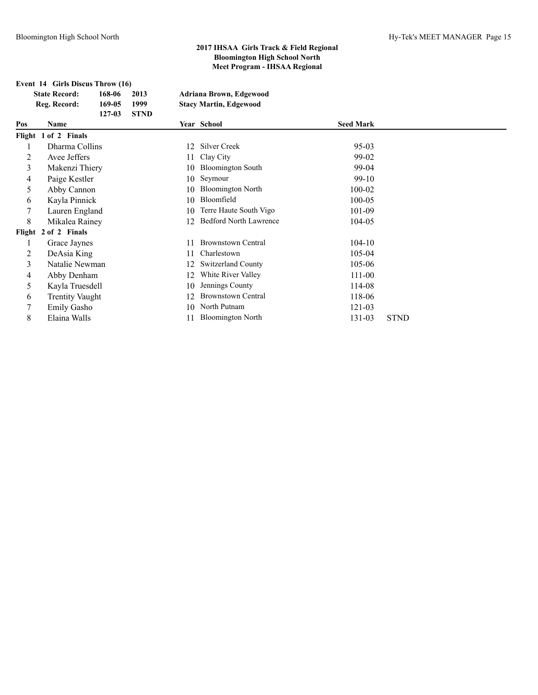|        | Event 14 Girls Discus Throw (16) |        |             |    |                               |                  |             |  |  |
|--------|----------------------------------|--------|-------------|----|-------------------------------|------------------|-------------|--|--|
|        | <b>State Record:</b>             | 168-06 | 2013        |    | Adriana Brown, Edgewood       |                  |             |  |  |
|        | Reg. Record:                     | 169-05 | 1999        |    | <b>Stacy Martin, Edgewood</b> |                  |             |  |  |
|        |                                  | 127-03 | <b>STND</b> |    |                               |                  |             |  |  |
| Pos    | Name                             |        |             |    | Year School                   | <b>Seed Mark</b> |             |  |  |
|        | Flight 1 of 2 Finals             |        |             |    |                               |                  |             |  |  |
| 1      | Dharma Collins                   |        |             | 12 | <b>Silver Creek</b>           | $95-03$          |             |  |  |
| 2      | Avee Jeffers                     |        |             | 11 | Clay City                     | 99-02            |             |  |  |
| 3      | Makenzi Thiery                   |        |             | 10 | <b>Bloomington South</b>      | 99-04            |             |  |  |
| 4      | Paige Kestler                    |        |             | 10 | Seymour                       | $99-10$          |             |  |  |
| 5      | Abby Cannon                      |        |             | 10 | <b>Bloomington North</b>      | 100-02           |             |  |  |
| 6      | Kayla Pinnick                    |        |             | 10 | Bloomfield                    | $100 - 05$       |             |  |  |
| 7      | Lauren England                   |        |             | 10 | Terre Haute South Vigo        | 101-09           |             |  |  |
| 8      | Mikalea Rainey                   |        |             | 12 | <b>Bedford North Lawrence</b> | 104-05           |             |  |  |
| Flight | 2 of 2 Finals                    |        |             |    |                               |                  |             |  |  |
| 1      | Grace Jaynes                     |        |             | 11 | <b>Brownstown Central</b>     | $104-10$         |             |  |  |
| 2      | DeAsia King                      |        |             | 11 | Charlestown                   | 105-04           |             |  |  |
| 3      | Natalie Newman                   |        |             | 12 | <b>Switzerland County</b>     | 105-06           |             |  |  |
| 4      | Abby Denham                      |        |             | 12 | White River Valley            | 111-00           |             |  |  |
| 5      | Kayla Truesdell                  |        |             | 10 | Jennings County               | 114-08           |             |  |  |
| 6      | <b>Trentity Vaught</b>           |        |             | 12 | <b>Brownstown Central</b>     | 118-06           |             |  |  |
| 7      | <b>Emily Gasho</b>               |        |             | 10 | North Putnam                  | 121-03           |             |  |  |
| 8      | Elaina Walls                     |        |             | 11 | <b>Bloomington North</b>      | 131-03           | <b>STND</b> |  |  |
|        |                                  |        |             |    |                               |                  |             |  |  |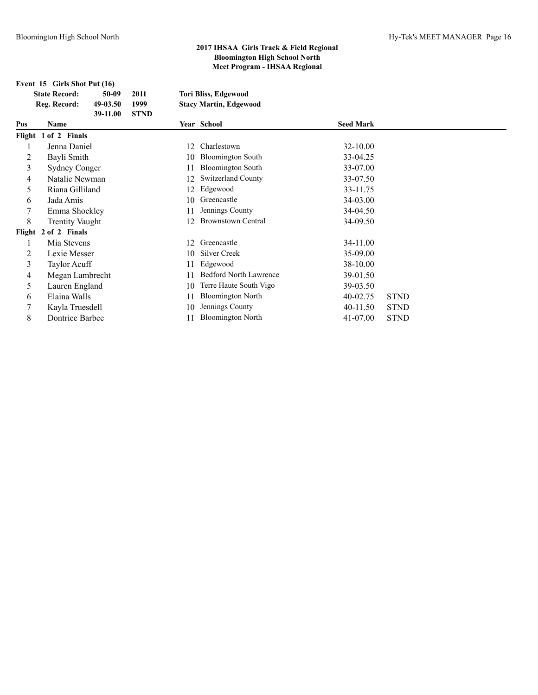|     | Event 15 Girls Shot Put (16)         |                   |              |                                                              |                  |
|-----|--------------------------------------|-------------------|--------------|--------------------------------------------------------------|------------------|
|     | <b>State Record:</b><br>Reg. Record: | 50-09<br>49-03.50 | 2011<br>1999 | <b>Tori Bliss, Edgewood</b><br><b>Stacy Martin, Edgewood</b> |                  |
| Pos | <b>Name</b>                          | 39-11.00          | <b>STND</b>  | <b>Year School</b>                                           | <b>Seed Mark</b> |
|     | Flight 1 of 2 Finals                 |                   |              |                                                              |                  |
|     | Jenna Daniel                         |                   |              | Charlestown<br>12.                                           | 32-10.00         |
|     | $P = 1: 01$                          |                   |              | $10.51$ and $\frac{1}{2}$ and $\frac{1}{2}$                  | 22.0425          |

| 2              | Bayli Smith            |    | 10 Bloomington South          | 33-04.25     |             |
|----------------|------------------------|----|-------------------------------|--------------|-------------|
| 3              | <b>Sydney Conger</b>   | 11 | <b>Bloomington South</b>      | 33-07.00     |             |
| $\overline{4}$ | Natalie Newman         | 12 | <b>Switzerland County</b>     | 33-07.50     |             |
| 5              | Riana Gilliland        | 12 | Edgewood                      | 33-11.75     |             |
| 6              | Jada Amis              |    | 10 Greencastle                | 34-03.00     |             |
| 7              | Emma Shockley          | 11 | Jennings County               | 34-04.50     |             |
| 8              | <b>Trentity Vaught</b> | 12 | <b>Brownstown Central</b>     | 34-09.50     |             |
|                | Flight 2 of 2 Finals   |    |                               |              |             |
| л.             | Mia Stevens            | 12 | Greencastle                   | 34-11.00     |             |
| 2              | Lexie Messer           | 10 | Silver Creek                  | 35-09.00     |             |
| 3              | Taylor Acuff           | 11 | Edgewood                      | 38-10.00     |             |
| 4              | Megan Lambrecht        | 11 | <b>Bedford North Lawrence</b> | 39-01.50     |             |
| 5              | Lauren England         | 10 | Terre Haute South Vigo        | 39-03.50     |             |
| 6              | Elaina Walls           | 11 | <b>Bloomington North</b>      | $40 - 02.75$ | <b>STND</b> |
| 7              | Kayla Truesdell        | 10 | Jennings County               | $40 - 11.50$ | <b>STND</b> |
| 8              | Dontrice Barbee        |    | <b>Bloomington North</b>      | 41-07.00     | <b>STND</b> |